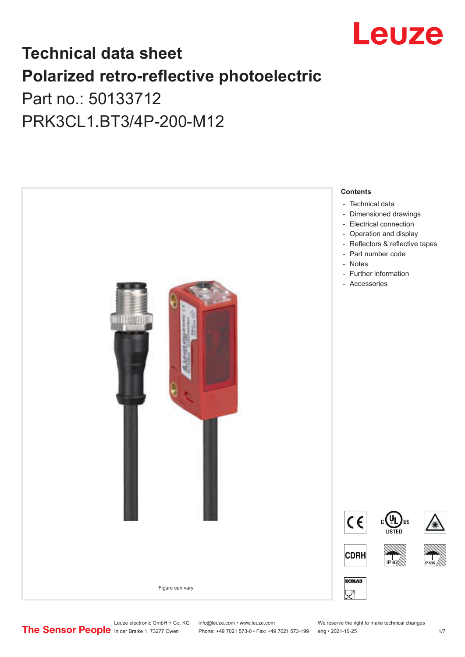

# **Technical data sheet Polarized retro-reflective photoelectric**  Part no.: 50133712

PRK3CL1.BT3/4P-200-M12



Leuze electronic GmbH + Co. KG info@leuze.com • www.leuze.com We reserve the right to make technical changes<br>
The Sensor People in der Braike 1, 73277 Owen Phone: +49 7021 573-0 • Fax: +49 7021 573-199 eng • 2021-10-25

Phone: +49 7021 573-0 • Fax: +49 7021 573-199 eng • 2021-10-25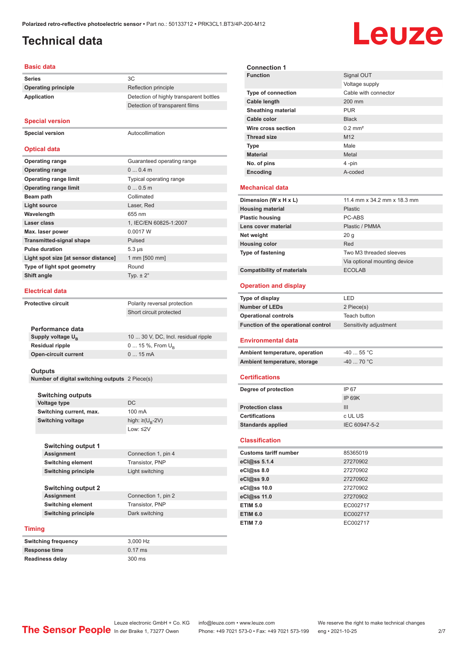Detection of transparent films

## <span id="page-1-0"></span>**Technical data**

# Leuze

#### **Basic data**

**Series** 3C **Operating principle** Reflection principle **Application** Detection of highly transparent bottles

#### **Special version**

**Special version** Autocollimation

#### **Optical data**

| <b>Operating range</b>               | Guaranteed operating range     |
|--------------------------------------|--------------------------------|
| <b>Operating range</b>               | $00.4$ m                       |
| <b>Operating range limit</b>         | <b>Typical operating range</b> |
| <b>Operating range limit</b>         | 00.5m                          |
| Beam path                            | Collimated                     |
| <b>Light source</b>                  | Laser, Red                     |
| Wavelength                           | 655 nm                         |
| Laser class                          | 1, IEC/EN 60825-1:2007         |
| Max. laser power                     | 0.0017 W                       |
| <b>Transmitted-signal shape</b>      | Pulsed                         |
| <b>Pulse duration</b>                | $5.3 \,\mu s$                  |
| Light spot size [at sensor distance] | 1 mm [500 mm]                  |
| Type of light spot geometry          | Round                          |
| Shift angle                          | Typ. $\pm 2^{\circ}$           |
|                                      |                                |

#### **Electrical data**

**Performance data Supply voltage U<sub>B</sub>** 

**Open-circuit current** 

**Protective circuit** Polarity reversal protection Short circuit protected

10 ... 30 V, DC, Incl. residual ripple **Residual ripple** 0 ... 15 %, From U<sub>B</sub><br> **Open-circuit current** 0 ... 15 mA

#### **Outputs**

**Number of digital switching outputs** 2 Piece(s)

#### **Switching outputs**

**Voltage type** DC **Switching current, max.** 100 mA **Switching voltage** high:  $\geq (U_p - 2V)$ Low: ≤2V

**Switching output 1 Assignment** Connection 1, pin 4 **Switching element** Transistor, PNP **Switching principle** Light switching

**Switching output 2 Assignment** Connection 1, pin 2 **Switching element** Transistor, PNP **Switching principle** Dark switching

#### **Timing**

| 3.000 Hz          |
|-------------------|
| $0.17 \text{ ms}$ |
| 300 ms            |
|                   |

| <b>Connection 1</b>                 |                              |
|-------------------------------------|------------------------------|
| <b>Function</b>                     | Signal OUT                   |
|                                     | Voltage supply               |
| <b>Type of connection</b>           | Cable with connector         |
| <b>Cable length</b>                 | 200 mm                       |
| <b>Sheathing material</b>           | <b>PUR</b>                   |
| Cable color                         | <b>Black</b>                 |
| Wire cross section                  | $0.2$ mm <sup>2</sup>        |
| <b>Thread size</b>                  | M <sub>12</sub>              |
| <b>Type</b>                         | Male                         |
| <b>Material</b>                     | Metal                        |
| No. of pins                         | 4-pin                        |
| Encoding                            | A-coded                      |
| <b>Mechanical data</b>              |                              |
| Dimension (W x H x L)               | 11.4 mm x 34.2 mm x 18.3 mm  |
| <b>Housing material</b>             | <b>Plastic</b>               |
| <b>Plastic housing</b>              | PC-ABS                       |
| Lens cover material                 | Plastic / PMMA               |
| Net weight                          | 20 <sub>g</sub>              |
| <b>Housing color</b>                | Red                          |
| Type of fastening                   | Two M3 threaded sleeves      |
|                                     | Via optional mounting device |
| <b>Compatibility of materials</b>   | <b>FCOLAB</b>                |
| <b>Operation and display</b>        |                              |
|                                     |                              |
|                                     |                              |
| Type of display                     | LED                          |
| <b>Number of LEDs</b>               | 2 Piece(s)                   |
| <b>Operational controls</b>         | <b>Teach button</b>          |
| Function of the operational control | Sensitivity adjustment       |
| Environmental data                  |                              |
| Ambient temperature, operation      | -40  55 °C                   |
| Ambient temperature, storage        | $-40$ 70 °C                  |
| <b>Certifications</b>               |                              |
|                                     | IP 67                        |
| Degree of protection                | <b>IP 69K</b>                |
| <b>Protection class</b>             | III                          |
| <b>Certifications</b>               | c UL US                      |
| <b>Standards applied</b>            | IEC 60947-5-2                |
| <b>Classification</b>               |                              |
| <b>Customs tariff number</b>        | 85365019                     |
| eCl@ss 5.1.4                        | 27270902                     |
| eCl@ss 8.0                          | 27270902                     |
| eCl@ss 9.0                          | 27270902                     |
| eCl@ss 10.0                         | 27270902                     |
| eCl@ss 11.0                         | 27270902                     |
| <b>ETIM 5.0</b>                     | EC002717                     |

**ETIM 7.0** EC002717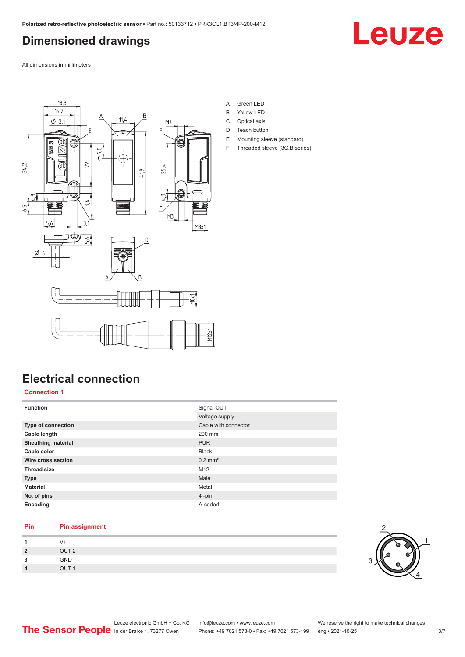# <span id="page-2-0"></span>**Dimensioned drawings**

All dimensions in millimeters



- A Green LED
- B Yellow LED
- C Optical axis
- D Teach button
- E Mounting sleeve (standard) F Threaded sleeve (3C.B series)

# **Electrical connection**

**Connection 1**

| <b>Function</b>           | Signal OUT            |
|---------------------------|-----------------------|
|                           | Voltage supply        |
| Type of connection        | Cable with connector  |
| Cable length              | 200 mm                |
| <b>Sheathing material</b> | <b>PUR</b>            |
| Cable color               | <b>Black</b>          |
| Wire cross section        | $0.2$ mm <sup>2</sup> |
| <b>Thread size</b>        | M <sub>12</sub>       |
| <b>Type</b>               | Male                  |
| <b>Material</b>           | Metal                 |
| No. of pins               | $4$ -pin              |
| Encoding                  | A-coded               |

#### **Pin Pin assignment**

|                | V+               |  |  |
|----------------|------------------|--|--|
| $\overline{2}$ | OUT <sub>2</sub> |  |  |
| ໍາ             | GND              |  |  |
| 4              | OUT <sub>1</sub> |  |  |



Leuze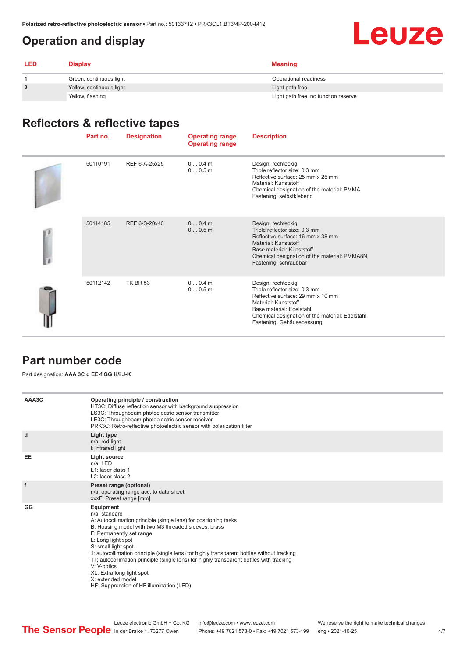# <span id="page-3-0"></span>**Operation and display**



| <b>LED</b>     | <b>Display</b>           | <b>Meaning</b>                       |
|----------------|--------------------------|--------------------------------------|
|                | Green, continuous light  | Operational readiness                |
| $\overline{2}$ | Yellow, continuous light | Light path free                      |
|                | Yellow, flashing         | Light path free, no function reserve |

# **Reflectors & reflective tapes**

| Part no. | <b>Designation</b> | <b>Operating range</b><br><b>Operating range</b> | <b>Description</b>                                                                                                                                                                                                           |
|----------|--------------------|--------------------------------------------------|------------------------------------------------------------------------------------------------------------------------------------------------------------------------------------------------------------------------------|
| 50110191 | REF 6-A-25x25      | 00.4m<br>00.5m                                   | Design: rechteckig<br>Triple reflector size: 0.3 mm<br>Reflective surface: 25 mm x 25 mm<br>Material: Kunststoff<br>Chemical designation of the material: PMMA<br>Fastening: selbstklebend                                   |
| 50114185 | REF 6-S-20x40      | 00.4m<br>00.5m                                   | Design: rechteckig<br>Triple reflector size: 0.3 mm<br>Reflective surface: 16 mm x 38 mm<br>Material: Kunststoff<br>Base material: Kunststoff<br>Chemical designation of the material: PMMA8N<br>Fastening: schraubbar       |
| 50112142 | <b>TK BR 53</b>    | $00.4$ m<br>00.5m                                | Design: rechteckig<br>Triple reflector size: 0.3 mm<br>Reflective surface: 29 mm x 10 mm<br>Material: Kunststoff<br>Base material: Edelstahl<br>Chemical designation of the material: Edelstahl<br>Fastening: Gehäusepassung |

### **Part number code**

Part designation: **AAA 3C d EE-f.GG H/i J-K**

| AAA3C | Operating principle / construction<br>HT3C: Diffuse reflection sensor with background suppression<br>LS3C: Throughbeam photoelectric sensor transmitter<br>LE3C: Throughbeam photoelectric sensor receiver<br>PRK3C: Retro-reflective photoelectric sensor with polarization filter                                                                                                                                                                                                                                                    |
|-------|----------------------------------------------------------------------------------------------------------------------------------------------------------------------------------------------------------------------------------------------------------------------------------------------------------------------------------------------------------------------------------------------------------------------------------------------------------------------------------------------------------------------------------------|
| d     | Light type<br>n/a: red light<br>I: infrared light                                                                                                                                                                                                                                                                                                                                                                                                                                                                                      |
| EE    | Light source<br>$n/a$ : LED<br>L1: laser class 1<br>L <sub>2</sub> : laser class 2                                                                                                                                                                                                                                                                                                                                                                                                                                                     |
| f     | Preset range (optional)<br>n/a: operating range acc. to data sheet<br>xxxF: Preset range [mm]                                                                                                                                                                                                                                                                                                                                                                                                                                          |
| GG    | Equipment<br>n/a: standard<br>A: Autocollimation principle (single lens) for positioning tasks<br>B: Housing model with two M3 threaded sleeves, brass<br>F: Permanently set range<br>L: Long light spot<br>S: small light spot<br>T: autocollimation principle (single lens) for highly transparent bottles without tracking<br>TT: autocollimation principle (single lens) for highly transparent bottles with tracking<br>V: V-optics<br>XL: Extra long light spot<br>X: extended model<br>HF: Suppression of HF illumination (LED) |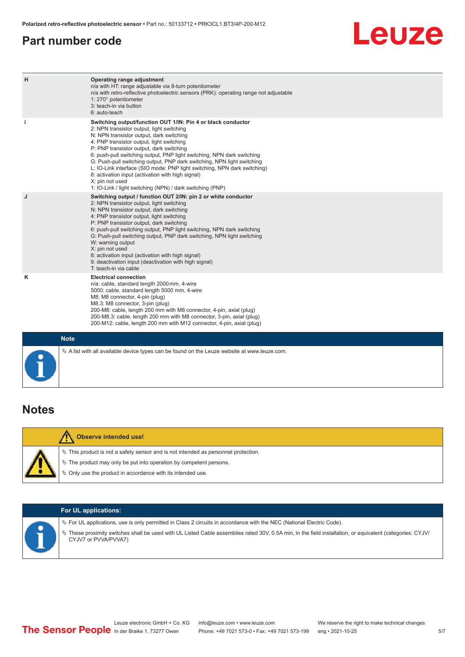## <span id="page-4-0"></span>**Part number code**

# Leuze

| H           | Operating range adjustment<br>n/a with HT: range adjustable via 8-turn potentiometer<br>n/a with retro-reflective photoelectric sensors (PRK): operating range not adjustable<br>1: 270° potentiometer<br>3: teach-in via button<br>6: auto-teach                                                                                                                                                                                                                                                                                                                                                                   |
|-------------|---------------------------------------------------------------------------------------------------------------------------------------------------------------------------------------------------------------------------------------------------------------------------------------------------------------------------------------------------------------------------------------------------------------------------------------------------------------------------------------------------------------------------------------------------------------------------------------------------------------------|
| i           | Switching output/function OUT 1/IN: Pin 4 or black conductor<br>2: NPN transistor output, light switching<br>N: NPN transistor output, dark switching<br>4: PNP transistor output, light switching<br>P: PNP transistor output, dark switching<br>6: push-pull switching output, PNP light switching, NPN dark switching<br>G: Push-pull switching output, PNP dark switching, NPN light switching<br>L: IO-Link interface (SIO mode: PNP light switching, NPN dark switching)<br>8: activation input (activation with high signal)<br>X: pin not used<br>1: IO-Link / light switching (NPN) / dark switching (PNP) |
| J           | Switching output / function OUT 2/IN: pin 2 or white conductor<br>2: NPN transistor output, light switching<br>N: NPN transistor output, dark switching<br>4: PNP transistor output, light switching<br>P: PNP transistor output, dark switching<br>6: push-pull switching output, PNP light switching, NPN dark switching<br>G: Push-pull switching output, PNP dark switching, NPN light switching<br>W: warning output<br>X: pin not used<br>8: activation input (activation with high signal)<br>9: deactivation input (deactivation with high signal)<br>T: teach-in via cable                                 |
| Κ           | <b>Electrical connection</b><br>n/a: cable, standard length 2000 mm, 4-wire<br>5000: cable, standard length 5000 mm, 4-wire<br>M8: M8 connector, 4-pin (plug)<br>M8.3: M8 connector, 3-pin (plug)<br>200-M8: cable, length 200 mm with M8 connector, 4-pin, axial (plug)<br>200-M8.3: cable, length 200 mm with M8 connector, 3-pin, axial (plug)<br>200-M12: cable, length 200 mm with M12 connector, 4-pin, axial (plug)                                                                                                                                                                                          |
| <b>Note</b> |                                                                                                                                                                                                                                                                                                                                                                                                                                                                                                                                                                                                                     |

## **Notes**

| <b>Observe intended use!</b>                                                                                                                                   |
|----------------------------------------------------------------------------------------------------------------------------------------------------------------|
| $\%$ This product is not a safety sensor and is not intended as personnel protection.<br>$\&$ The product may only be put into operation by competent persons. |
| § Only use the product in accordance with its intended use.                                                                                                    |

 $\%$  A list with all available device types can be found on the Leuze website at www.leuze.com.

| <b>For UL applications:</b>                                                                                                                                                                                                                                                                                    |
|----------------------------------------------------------------------------------------------------------------------------------------------------------------------------------------------------------------------------------------------------------------------------------------------------------------|
| $\%$ For UL applications, use is only permitted in Class 2 circuits in accordance with the NEC (National Electric Code).<br>V> These proximity switches shall be used with UL Listed Cable assemblies rated 30V, 0.5A min, in the field installation, or equivalent (categories: CYJV/<br>CYJV7 or PVVA/PVVA7) |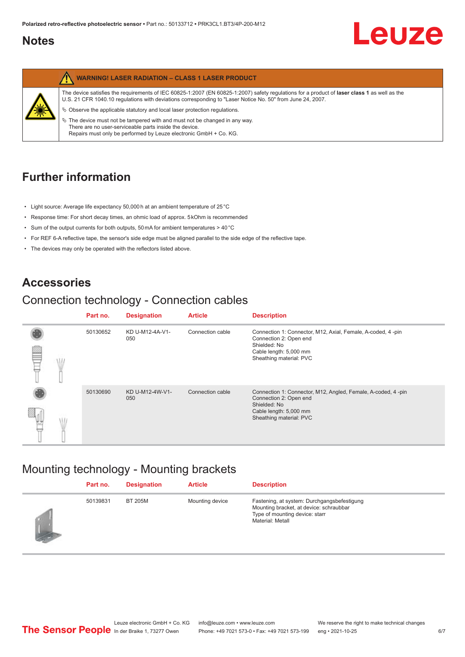## <span id="page-5-0"></span>**Notes**



# **Further information**

- Light source: Average life expectancy 50,000 h at an ambient temperature of 25 °C
- Response time: For short decay times, an ohmic load of approx. 5 kOhm is recommended
- Sum of the output currents for both outputs, 50 mA for ambient temperatures > 40 °C
- For REF 6-A reflective tape, the sensor's side edge must be aligned parallel to the side edge of the reflective tape.
- The devices may only be operated with the reflectors listed above.

### **Accessories**

## Connection technology - Connection cables

|   | Part no. | <b>Designation</b>     | <b>Article</b>   | <b>Description</b>                                                                                                                                         |
|---|----------|------------------------|------------------|------------------------------------------------------------------------------------------------------------------------------------------------------------|
| œ | 50130652 | KD U-M12-4A-V1-<br>050 | Connection cable | Connection 1: Connector, M12, Axial, Female, A-coded, 4-pin<br>Connection 2: Open end<br>Shielded: No<br>Cable length: 5,000 mm<br>Sheathing material: PVC |
|   |          |                        |                  |                                                                                                                                                            |
|   | 50130690 | KD U-M12-4W-V1-<br>050 | Connection cable | Connection 1: Connector, M12, Angled, Female, A-coded, 4 -pin<br>Connection 2: Open end<br>Shielded: No                                                    |
|   |          |                        |                  | Cable length: 5,000 mm<br>Sheathing material: PVC                                                                                                          |

## Mounting technology - Mounting brackets

|               | Part no. | <b>Designation</b> | <b>Article</b>  | <b>Description</b>                                                                                                                           |
|---------------|----------|--------------------|-----------------|----------------------------------------------------------------------------------------------------------------------------------------------|
| <b>Letter</b> | 50139831 | BT 205M            | Mounting device | Fastening, at system: Durchgangsbefestigung<br>Mounting bracket, at device: schraubbar<br>Type of mounting device: starr<br>Material: Metall |

Leuze